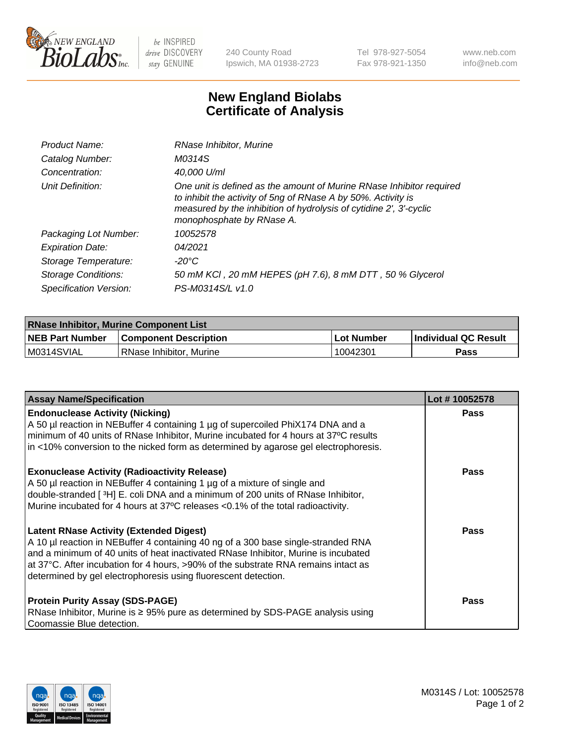

 $be$  INSPIRED drive DISCOVERY stay GENUINE

240 County Road Ipswich, MA 01938-2723 Tel 978-927-5054 Fax 978-921-1350 www.neb.com info@neb.com

## **New England Biolabs Certificate of Analysis**

| Product Name:           | RNase Inhibitor, Murine                                                                                                                                                                                                                  |
|-------------------------|------------------------------------------------------------------------------------------------------------------------------------------------------------------------------------------------------------------------------------------|
| Catalog Number:         | M0314S                                                                                                                                                                                                                                   |
| Concentration:          | 40,000 U/ml                                                                                                                                                                                                                              |
| Unit Definition:        | One unit is defined as the amount of Murine RNase Inhibitor required<br>to inhibit the activity of 5ng of RNase A by 50%. Activity is<br>measured by the inhibition of hydrolysis of cytidine 2', 3'-cyclic<br>monophosphate by RNase A. |
| Packaging Lot Number:   | 10052578                                                                                                                                                                                                                                 |
| <b>Expiration Date:</b> | 04/2021                                                                                                                                                                                                                                  |
| Storage Temperature:    | -20°C                                                                                                                                                                                                                                    |
| Storage Conditions:     | 50 mM KCI, 20 mM HEPES (pH 7.6), 8 mM DTT, 50 % Glycerol                                                                                                                                                                                 |
| Specification Version:  | PS-M0314S/L v1.0                                                                                                                                                                                                                         |

| <b>RNase Inhibitor, Murine Component List</b> |                              |            |                             |  |
|-----------------------------------------------|------------------------------|------------|-----------------------------|--|
| <b>NEB Part Number</b>                        | <b>Component Description</b> | Lot Number | <b>Individual QC Result</b> |  |
| M0314SVIAL                                    | RNase Inhibitor, Murine      | 10042301   | Pass                        |  |

| <b>Assay Name/Specification</b>                                                                                                                                                                                                                                                                                                                                                   | Lot #10052578 |
|-----------------------------------------------------------------------------------------------------------------------------------------------------------------------------------------------------------------------------------------------------------------------------------------------------------------------------------------------------------------------------------|---------------|
| <b>Endonuclease Activity (Nicking)</b><br>A 50 µl reaction in NEBuffer 4 containing 1 µg of supercoiled PhiX174 DNA and a<br>minimum of 40 units of RNase Inhibitor, Murine incubated for 4 hours at 37°C results<br>in <10% conversion to the nicked form as determined by agarose gel electrophoresis.                                                                          | Pass          |
| <b>Exonuclease Activity (Radioactivity Release)</b><br>A 50 µl reaction in NEBuffer 4 containing 1 µg of a mixture of single and<br>double-stranded [3H] E. coli DNA and a minimum of 200 units of RNase Inhibitor,<br>Murine incubated for 4 hours at 37°C releases <0.1% of the total radioactivity.                                                                            | <b>Pass</b>   |
| <b>Latent RNase Activity (Extended Digest)</b><br>A 10 µl reaction in NEBuffer 4 containing 40 ng of a 300 base single-stranded RNA<br>and a minimum of 40 units of heat inactivated RNase Inhibitor, Murine is incubated<br>at 37°C. After incubation for 4 hours, >90% of the substrate RNA remains intact as<br>determined by gel electrophoresis using fluorescent detection. | <b>Pass</b>   |
| <b>Protein Purity Assay (SDS-PAGE)</b><br>RNase Inhibitor, Murine is ≥ 95% pure as determined by SDS-PAGE analysis using<br>Coomassie Blue detection.                                                                                                                                                                                                                             | <b>Pass</b>   |